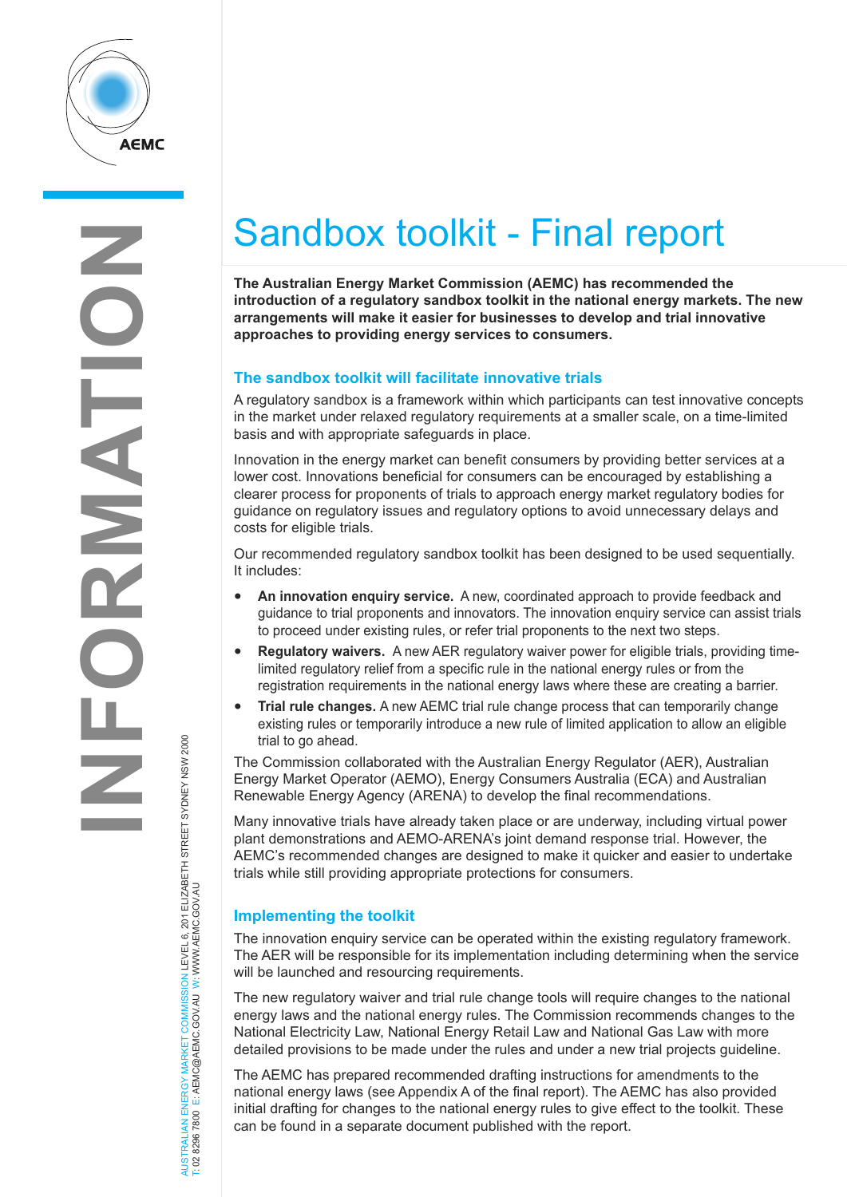

## Sandbox toolkit - Final report

**The Australian Energy Market Commission (AEMC) has recommended the introduction of a regulatory sandbox toolkit in the national energy markets. The new arrangements will make it easier for businesses to develop and trial innovative approaches to providing energy services to consumers.** 

## **The sandbox toolkit will facilitate innovative trials**

A regulatory sandbox is a framework within which participants can test innovative concepts in the market under relaxed regulatory requirements at a smaller scale, on a time-limited basis and with appropriate safeguards in place.

Innovation in the energy market can benefit consumers by providing better services at a lower cost. Innovations beneficial for consumers can be encouraged by establishing a clearer process for proponents of trials to approach energy market regulatory bodies for guidance on regulatory issues and regulatory options to avoid unnecessary delays and costs for eligible trials.

Our recommended regulatory sandbox toolkit has been designed to be used sequentially. It includes:

- **An innovation enquiry service.** A new, coordinated approach to provide feedback and guidance to trial proponents and innovators. The innovation enquiry service can assist trials to proceed under existing rules, or refer trial proponents to the next two steps.
- **Regulatory waivers.** A new AER regulatory waiver power for eligible trials, providing timelimited regulatory relief from a specific rule in the national energy rules or from the registration requirements in the national energy laws where these are creating a barrier.
- **Trial rule changes.** A new AEMC trial rule change process that can temporarily change existing rules or temporarily introduce a new rule of limited application to allow an eligible trial to go ahead.

The Commission collaborated with the Australian Energy Regulator (AER), Australian Energy Market Operator (AEMO), Energy Consumers Australia (ECA) and Australian Renewable Energy Agency (ARENA) to develop the final recommendations.

Many innovative trials have already taken place or are underway, including virtual power plant demonstrations and AEMO-ARENA's joint demand response trial. However, the AEMC's recommended changes are designed to make it quicker and easier to undertake trials while still providing appropriate protections for consumers.

## **Implementing the toolkit**

The innovation enquiry service can be operated within the existing regulatory framework. The AER will be responsible for its implementation including determining when the service will be launched and resourcing requirements.

The new regulatory waiver and trial rule change tools will require changes to the national energy laws and the national energy rules. The Commission recommends changes to the National Electricity Law, National Energy Retail Law and National Gas Law with more detailed provisions to be made under the rules and under a new trial projects guideline.

The AEMC has prepared recommended drafting instructions for amendments to the national energy laws (see Appendix A of the final report). The AEMC has also provided initial drafting for changes to the national energy rules to give effect to the toolkit. These can be found in a separate document published with the report.

NERGY MARKET COMMISSION LEVEL 6, 201 ELIZABETH STREET SYDNEY NSW 2000<br>E: AEMC@AEMC.GOVAU W: WWW.AEMC.GOV.AU AUSTRALIAN ENERGY MARKET COMMISSION LEVEL 6, 201 ELIZABETH STREET SYDNEY NSW 2000 T: 02 8296 7800 E: AEMC@AEMC.GOV.AU W: WWW.AEMC.GOV.AU AUSTRALIAN ENERGY MARKET T: 02 8296 7800